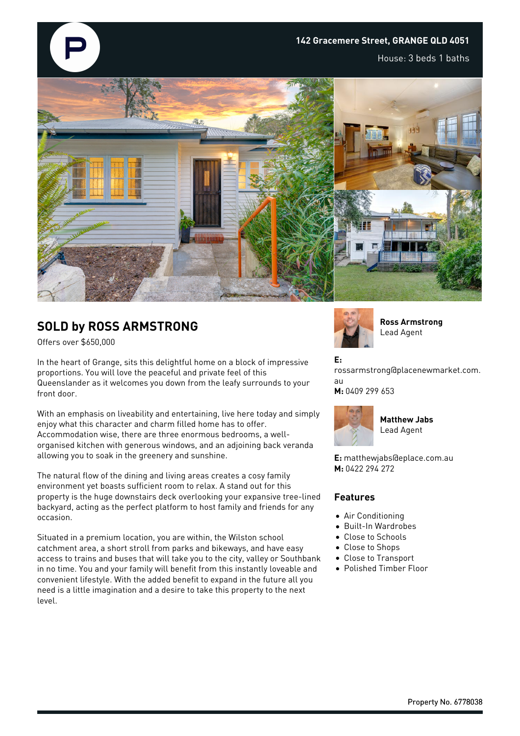

## **SOLD by ROSS ARMSTRONG**

Offers over \$650,000

In the heart of Grange, sits this delightful home on a block of impressive proportions. You will love the peaceful and private feel of this Queenslander as it welcomes you down from the leafy surrounds to your front door.

With an emphasis on liveability and entertaining, live here today and simply enjoy what this character and charm filled home has to offer. Accommodation wise, there are three enormous bedrooms, a wellorganised kitchen with generous windows, and an adjoining back veranda allowing you to soak in the greenery and sunshine.

The natural flow of the dining and living areas creates a cosy family environment yet boasts sufficient room to relax. A stand out for this property is the huge downstairs deck overlooking your expansive tree-lined backyard, acting as the perfect platform to host family and friends for any occasion.

Situated in a premium location, you are within, the Wilston school catchment area, a short stroll from parks and bikeways, and have easy access to trains and buses that will take you to the city, valley or Southbank in no time. You and your family will benefit from this instantly loveable and convenient lifestyle. With the added benefit to expand in the future all you need is a little imagination and a desire to take this property to the next level.



**Ross Armstrong** Lead Agent

## **E:**

rossarmstrong@placenewmarket.com. au **M:** 0409 299 653



**Matthew Jabs** Lead Agent

**E:** matthewjabs@eplace.com.au **M:** 0422 294 272

## **Features**

- Air Conditioning
- Built-In Wardrobes
- Close to Schools
- Close to Shops
- Close to Transport
- Polished Timber Floor